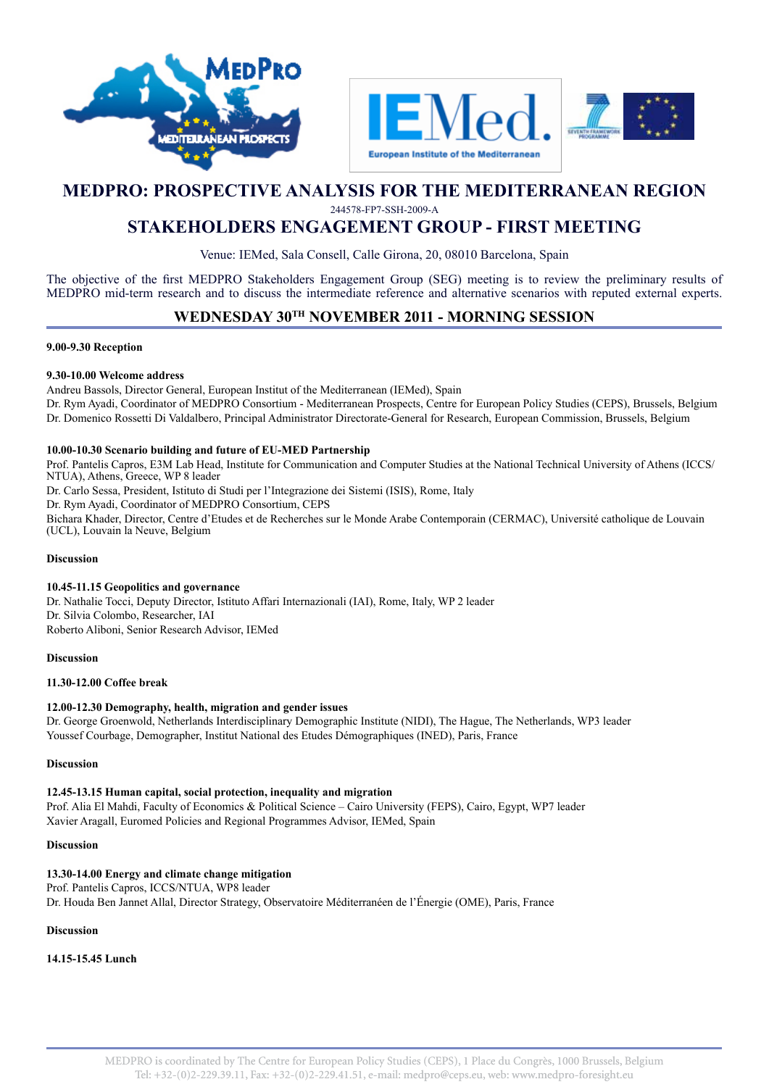



# **MEDPRO: PROSPECTIVE ANALYSIS FOR THE MEDITERRANEAN REGION**

244578-FP7-SSH-2009-A

# **STAKEHOLDERS ENGAGEMENT GROUP - FIRST MEETING**

Venue: IEMed, Sala Consell, Calle Girona, 20, 08010 Barcelona, Spain

The objective of the first MEDPRO Stakeholders Engagement Group (SEG) meeting is to review the preliminary results of MEDPRO mid-term research and to discuss the intermediate reference and alternative scenarios with reputed external experts.

## **WEDNESDAY 30TH NOVEMBER 2011 - MORNING SESSION**

#### **9.00-9.30 Reception**

#### **9.30-10.00 Welcome address**

Andreu Bassols, Director General, European Institut of the Mediterranean (IEMed), Spain Dr. Rym Ayadi, Coordinator of MEDPRO Consortium - Mediterranean Prospects, Centre for European Policy Studies (CEPS), Brussels, Belgium Dr. Domenico Rossetti Di Valdalbero, Principal Administrator Directorate-General for Research, European Commission, Brussels, Belgium

#### **10.00-10.30 Scenario building and future of EU-MED Partnership**

Prof. Pantelis Capros, E3M Lab Head, Institute for Communication and Computer Studies at the National Technical University of Athens (ICCS/ NTUA), Athens, Greece, WP 8 leader Dr. Carlo Sessa, President, Istituto di Studi per l'Integrazione dei Sistemi (ISIS), Rome, Italy Dr. Rym Ayadi, Coordinator of MEDPRO Consortium, CEPS Bichara Khader, Director, Centre d'Etudes et de Recherches sur le Monde Arabe Contemporain (CERMAC), Université catholique de Louvain (UCL), Louvain la Neuve, Belgium

#### **Discussion**

#### **10.45-11.15 Geopolitics and governance**

Dr. Nathalie Tocci, Deputy Director, Istituto Affari Internazionali (IAI), Rome, Italy, WP 2 leader Dr. Silvia Colombo, Researcher, IAI Roberto Aliboni, Senior Research Advisor, IEMed

#### **Discussion**

#### **11.30-12.00 Coffee break**

## **12.00-12.30 Demography, health, migration and gender issues**

Dr. George Groenwold, Netherlands Interdisciplinary Demographic Institute (NIDI), The Hague, The Netherlands, WP3 leader Youssef Courbage, Demographer, Institut National des Etudes Démographiques (INED), Paris, France

#### **Discussion**

#### **12.45-13.15 Human capital, social protection, inequality and migration**

Prof. Alia El Mahdi, Faculty of Economics & Political Science – Cairo University (FEPS), Cairo, Egypt, WP7 leader Xavier Aragall, Euromed Policies and Regional Programmes Advisor, IEMed, Spain

#### **Discussion**

**13.30-14.00 Energy and climate change mitigation** Prof. Pantelis Capros, ICCS/NTUA, WP8 leader Dr. Houda Ben Jannet Allal, Director Strategy, Observatoire Méditerranéen de l'Énergie (OME), Paris, France

#### **Discussion**

**14.15-15.45 Lunch**